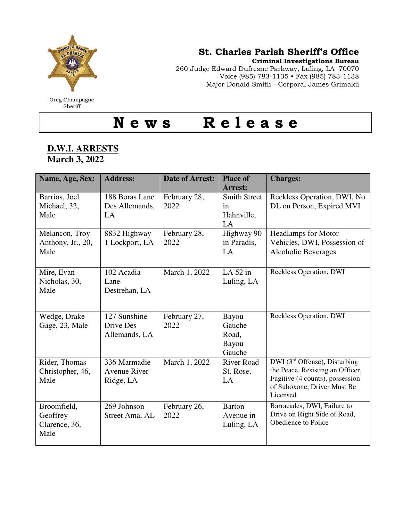

Greg Champagne **Sheriff** 

## St. Charles Parish Sheriff's Office

Criminal Investigations Bureau

260 Judge Edward Dufresne Parkway, Luling, LA 70070 Voice (985) 783-1135 • Fax (985) 783-1138 Major Donald Smith - Corporal James Grimaldi

N e w s R e l e a s e

## **D.W.I. ARRESTS March 3, 2022**

| Name, Age, Sex:                                  | <b>Address:</b>                                  | <b>Date of Arrest:</b> | <b>Place of</b><br><b>Arrest:</b>             | <b>Charges:</b>                                                                                                                                                                               |
|--------------------------------------------------|--------------------------------------------------|------------------------|-----------------------------------------------|-----------------------------------------------------------------------------------------------------------------------------------------------------------------------------------------------|
| Barrios, Joel<br>Michael, 32,<br>Male            | 188 Boras Lane<br>Des Allemands,<br>LA           | February 28,<br>2022   | <b>Smith Street</b><br>in<br>Hahnville,<br>LA | Reckless Operation, DWI, No<br>DL on Person, Expired MVI                                                                                                                                      |
| Melancon, Troy<br>Anthony, Jr., 20,<br>Male      | 8832 Highway<br>1 Lockport, LA                   | February 28,<br>2022   | Highway 90<br>in Paradis,<br>LA               | <b>Headlamps for Motor</b><br>Vehicles, DWI, Possession of<br><b>Alcoholic Beverages</b>                                                                                                      |
| Mire, Evan<br>Nicholas, 30,<br>Male              | 102 Acadia<br>Lane<br>Destrehan, LA              | March 1, 2022          | LA $52$ in<br>Luling, LA                      | Reckless Operation, DWI                                                                                                                                                                       |
| Wedge, Drake<br>Gage, 23, Male                   | 127 Sunshine<br>Drive Des<br>Allemands, LA       | February 27,<br>2022   | Bayou<br>Gauche<br>Road,<br>Bayou<br>Gauche   | Reckless Operation, DWI                                                                                                                                                                       |
| Rider, Thomas<br>Christopher, 46,<br>Male        | 336 Marmadie<br><b>Avenue River</b><br>Ridge, LA | March 1, 2022          | <b>River Road</b><br>St. Rose,<br>LA          | $\overline{\text{DWI}(\mathcal{F}^{\text{rd}}\text{Offense})}$ , Disturbing<br>the Peace, Resisting an Officer,<br>Fugitive (4 counts), possession<br>of Suboxone, Driver Must Be<br>Licensed |
| Broomfield,<br>Geoffrey<br>Clarence, 36,<br>Male | 269 Johnson<br>Street Ama, AL                    | February 26,<br>2022   | <b>Barton</b><br>Avenue in<br>Luling, LA      | Barracades, DWI, Failure to<br>Drive on Right Side of Road,<br>Obedience to Police                                                                                                            |